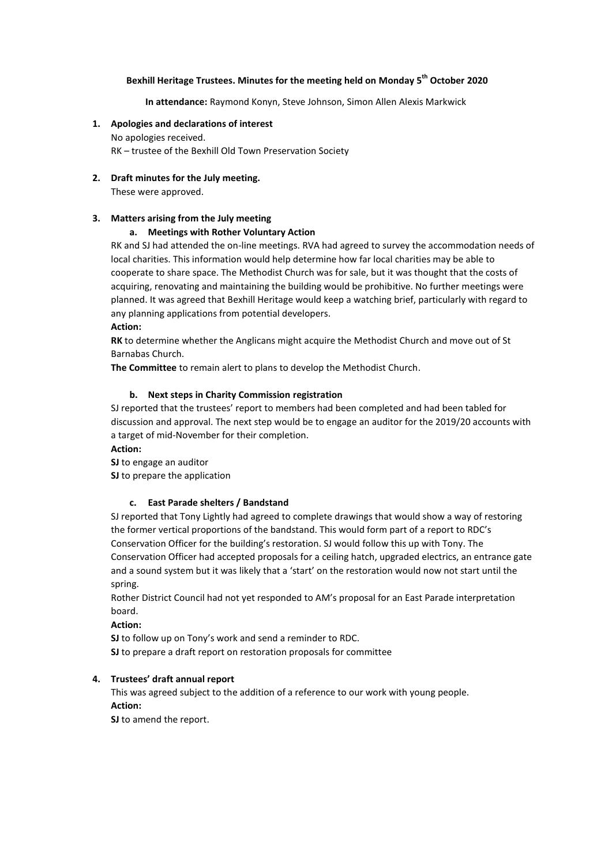# **Bexhill Heritage Trustees. Minutes for the meeting held on Monday 5 th October 2020**

**In attendance:** Raymond Konyn, Steve Johnson, Simon Allen Alexis Markwick

- **1. Apologies and declarations of interest** No apologies received. RK – trustee of the Bexhill Old Town Preservation Society
- **2. Draft minutes for the July meeting.**

These were approved.

## **3. Matters arising from the July meeting**

## **a. Meetings with Rother Voluntary Action**

RK and SJ had attended the on-line meetings. RVA had agreed to survey the accommodation needs of local charities. This information would help determine how far local charities may be able to cooperate to share space. The Methodist Church was for sale, but it was thought that the costs of acquiring, renovating and maintaining the building would be prohibitive. No further meetings were planned. It was agreed that Bexhill Heritage would keep a watching brief, particularly with regard to any planning applications from potential developers.

#### **Action:**

**RK** to determine whether the Anglicans might acquire the Methodist Church and move out of St Barnabas Church.

**The Committee** to remain alert to plans to develop the Methodist Church.

#### **b. Next steps in Charity Commission registration**

SJ reported that the trustees' report to members had been completed and had been tabled for discussion and approval. The next step would be to engage an auditor for the 2019/20 accounts with a target of mid-November for their completion.

## **Action:**

**SJ** to engage an auditor

**SJ** to prepare the application

#### **c. East Parade shelters / Bandstand**

SJ reported that Tony Lightly had agreed to complete drawings that would show a way of restoring the former vertical proportions of the bandstand. This would form part of a report to RDC's Conservation Officer for the building's restoration. SJ would follow this up with Tony. The Conservation Officer had accepted proposals for a ceiling hatch, upgraded electrics, an entrance gate and a sound system but it was likely that a 'start' on the restoration would now not start until the spring.

Rother District Council had not yet responded to AM's proposal for an East Parade interpretation board.

**Action:**

**SJ** to follow up on Tony's work and send a reminder to RDC. **SJ** to prepare a draft report on restoration proposals for committee

# **4. Trustees' draft annual report**

This was agreed subject to the addition of a reference to our work with young people. **Action:**

**SJ** to amend the report.